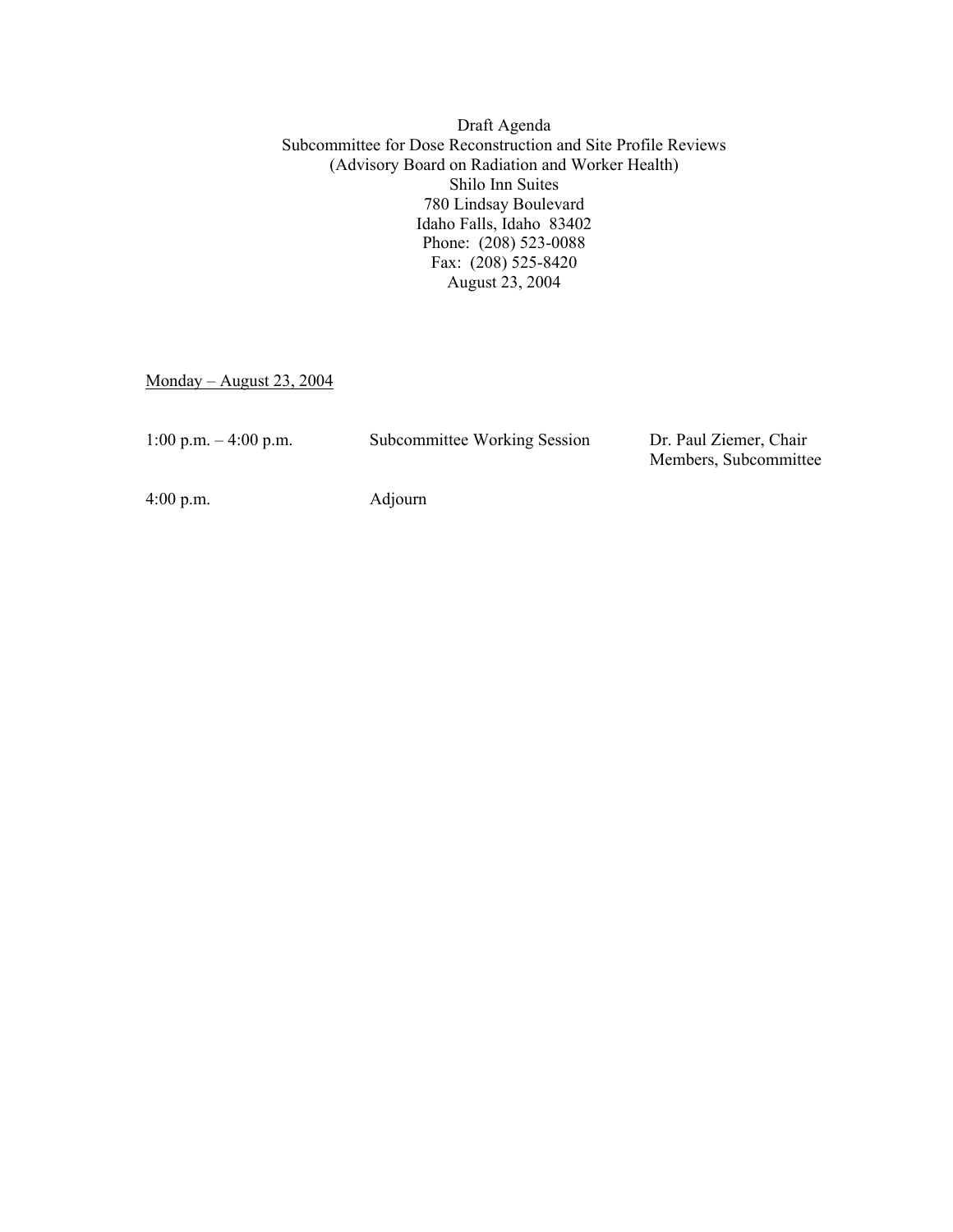Draft Agenda Subcommittee for Dose Reconstruction and Site Profile Reviews (Advisory Board on Radiation and Worker Health) Shilo Inn Suites 780 Lindsay Boulevard Idaho Falls, Idaho 83402 Phone: (208) 523-0088 Fax: (208) 525-8420 August 23, 2004

 $Monday - August 23, 2004$ 

| 1:00 p.m. $-4:00$ p.m. | Subcommittee Working Session | Dr. Paul Ziemer, Chair |
|------------------------|------------------------------|------------------------|
|                        |                              | Members, Subcommittee  |

4:00 p.m. Adjourn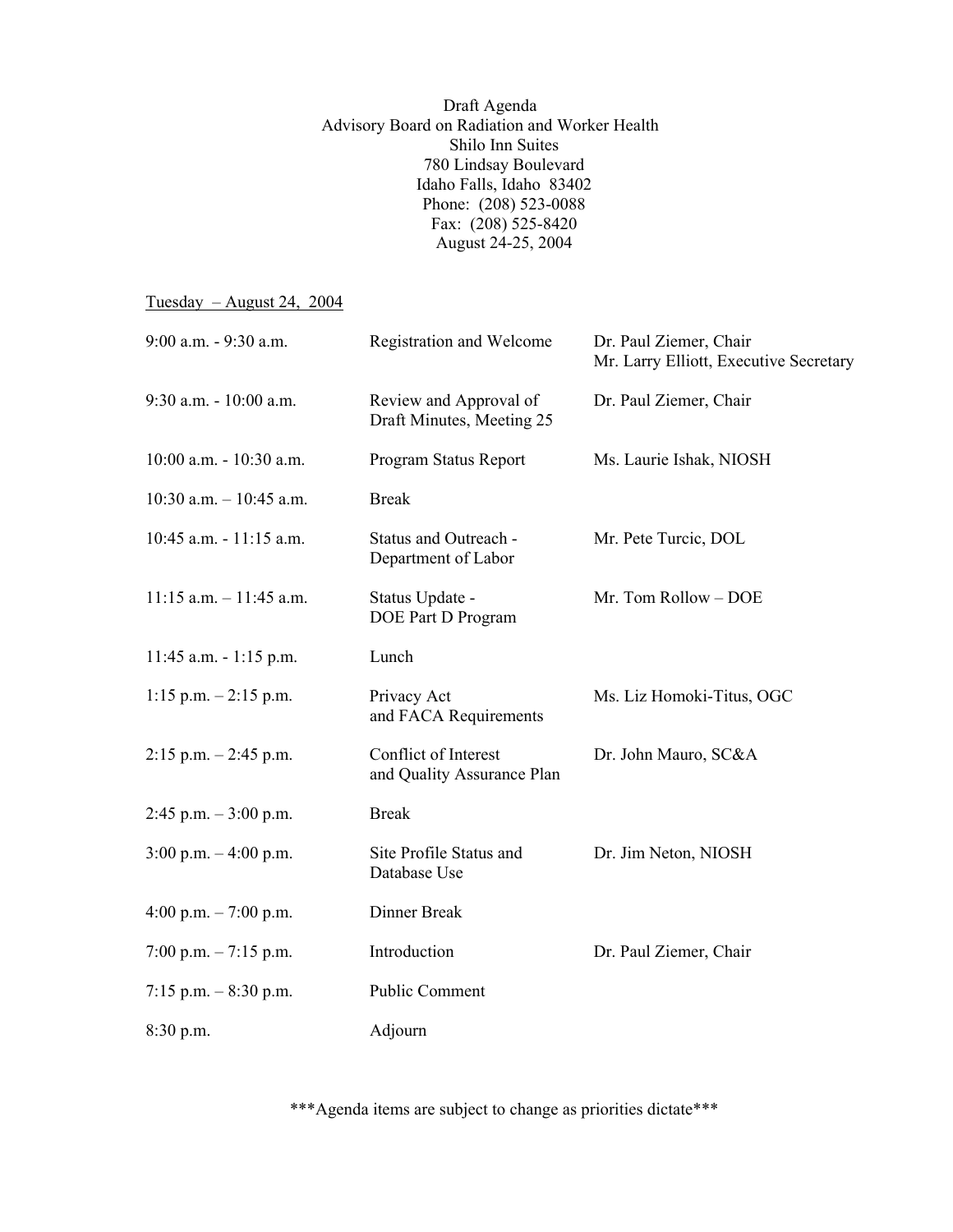Draft Agenda Advisory Board on Radiation and Worker Health Shilo Inn Suites 780 Lindsay Boulevard Idaho Falls, Idaho 83402 Phone: (208) 523-0088 Fax: (208) 525-8420 August 24-25, 2004

 $Tuesday - August 24, 2004$ 

| 9:00 a.m. - 9:30 a.m.      | Registration and Welcome                            | Dr. Paul Ziemer, Chair<br>Mr. Larry Elliott, Executive Secretary |
|----------------------------|-----------------------------------------------------|------------------------------------------------------------------|
| 9:30 a.m. - 10:00 a.m.     | Review and Approval of<br>Draft Minutes, Meeting 25 | Dr. Paul Ziemer, Chair                                           |
| 10:00 a.m. - 10:30 a.m.    | Program Status Report                               | Ms. Laurie Ishak, NIOSH                                          |
| $10:30$ a.m. $-10:45$ a.m. | <b>Break</b>                                        |                                                                  |
| 10:45 a.m. - 11:15 a.m.    | Status and Outreach -<br>Department of Labor        | Mr. Pete Turcic, DOL                                             |
| $11:15$ a.m. $-11:45$ a.m. | Status Update -<br>DOE Part D Program               | Mr. Tom Rollow - DOE                                             |
| $11:45$ a.m. $-1:15$ p.m.  | Lunch                                               |                                                                  |
| $1:15$ p.m. $-2:15$ p.m.   | Privacy Act<br>and FACA Requirements                | Ms. Liz Homoki-Titus, OGC                                        |
| $2:15$ p.m. $-2:45$ p.m.   | Conflict of Interest<br>and Quality Assurance Plan  | Dr. John Mauro, SC&A                                             |
| $2:45$ p.m. $-3:00$ p.m.   | <b>Break</b>                                        |                                                                  |
| $3:00$ p.m. $-4:00$ p.m.   | Site Profile Status and<br>Database Use             | Dr. Jim Neton, NIOSH                                             |
| 4:00 p.m. $- 7:00$ p.m.    | Dinner Break                                        |                                                                  |
| 7:00 p.m. $-7:15$ p.m.     | Introduction                                        | Dr. Paul Ziemer, Chair                                           |
| 7:15 p.m. $-8:30$ p.m.     | Public Comment                                      |                                                                  |
| 8:30 p.m.                  | Adjourn                                             |                                                                  |

\*\*\*Agenda items are subject to change as priorities dictate\*\*\*